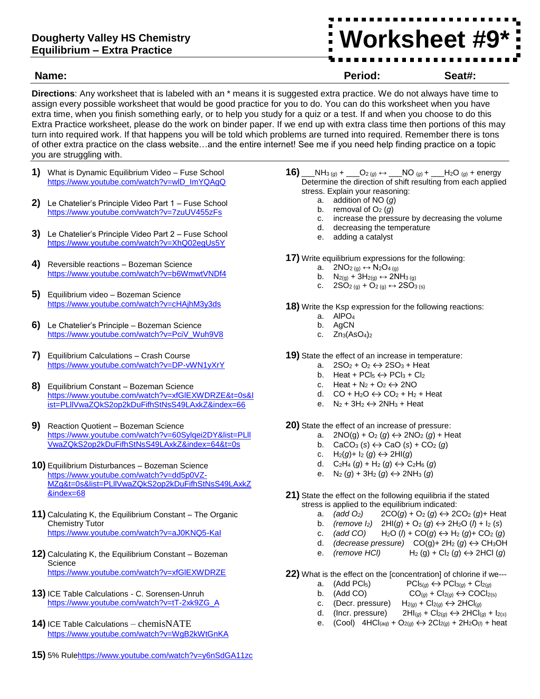## **Dougherty Valley HS Chemistry Equilibrium – Extra Practice**

**Worksheet #9\* #X\***

**Name: Period: Seat#:**

**Directions**: Any worksheet that is labeled with an \* means it is suggested extra practice. We do not always have time to assign every possible worksheet that would be good practice for you to do. You can do this worksheet when you have extra time, when you finish something early, or to help you study for a quiz or a test. If and when you choose to do this Extra Practice worksheet, please do the work on binder paper. If we end up with extra class time then portions of this may turn into required work. If that happens you will be told which problems are turned into required. Remember there is tons of other extra practice on the class website…and the entire internet! See me if you need help finding practice on a topic you are struggling with.

- **1)** What is Dynamic Equilibrium Video Fuse School [https://www.youtube.com/watch?v=wlD\\_ImYQAgQ](https://www.youtube.com/watch?v=wlD_ImYQAgQ)
- **2)** Le Chatelier's Principle Video Part 1 Fuse School <https://www.youtube.com/watch?v=7zuUV455zFs>
- **3)** Le Chatelier's Principle Video Part 2 Fuse School <https://www.youtube.com/watch?v=XhQ02egUs5Y>
- **4)** Reversible reactions Bozeman Science <https://www.youtube.com/watch?v=b6WmwtVNDf4>
- **5)** Equilibrium video Bozeman Science <https://www.youtube.com/watch?v=cHAjhM3y3ds>
- **6)** Le Chatelier's Principle Bozeman Science [https://www.youtube.com/watch?v=PciV\\_Wuh9V8](https://www.youtube.com/watch?v=PciV_Wuh9V8)
- **7)** Equilibrium Calculations Crash Course <https://www.youtube.com/watch?v=DP-vWN1yXrY>
- **8)** Equilibrium Constant Bozeman Science [https://www.youtube.com/watch?v=xfGlEXWDRZE&t=0s&l](https://www.youtube.com/watch?v=xfGlEXWDRZE&t=0s&list=PLllVwaZQkS2op2kDuFifhStNsS49LAxkZ&index=66) [ist=PLllVwaZQkS2op2kDuFifhStNsS49LAxkZ&index=66](https://www.youtube.com/watch?v=xfGlEXWDRZE&t=0s&list=PLllVwaZQkS2op2kDuFifhStNsS49LAxkZ&index=66)
- **9)** Reaction Quotient Bozeman Science [https://www.youtube.com/watch?v=60Sylqei2DY&list=PLll](https://www.youtube.com/watch?v=60Sylqei2DY&list=PLllVwaZQkS2op2kDuFifhStNsS49LAxkZ&index=64&t=0s) [VwaZQkS2op2kDuFifhStNsS49LAxkZ&index=64&t=0s](https://www.youtube.com/watch?v=60Sylqei2DY&list=PLllVwaZQkS2op2kDuFifhStNsS49LAxkZ&index=64&t=0s)
- **10)** Equilibrium Disturbances Bozeman Science [https://www.youtube.com/watch?v=dd5p0VZ-](https://www.youtube.com/watch?v=dd5p0VZ-MZg&t=0s&list=PLllVwaZQkS2op2kDuFifhStNsS49LAxkZ&index=68)[MZg&t=0s&list=PLllVwaZQkS2op2kDuFifhStNsS49LAxkZ](https://www.youtube.com/watch?v=dd5p0VZ-MZg&t=0s&list=PLllVwaZQkS2op2kDuFifhStNsS49LAxkZ&index=68) [&index=68](https://www.youtube.com/watch?v=dd5p0VZ-MZg&t=0s&list=PLllVwaZQkS2op2kDuFifhStNsS49LAxkZ&index=68)
- **11)** Calculating K, the Equilibrium Constant The Organic Chemistry Tutor <https://www.youtube.com/watch?v=aJ0KNQ5-KaI>
- **12)** Calculating K, the Equilibrium Constant Bozeman Science <https://www.youtube.com/watch?v=xfGlEXWDRZE>
- **13)** ICE Table Calculations C. Sorensen-Unruh [https://www.youtube.com/watch?v=tT-2xk9ZG\\_A](https://www.youtube.com/watch?v=tT-2xk9ZG_A)
- **14)** ICE Table Calculations chemisNATE <https://www.youtube.com/watch?v=WgB2kWtGnKA>
- **15)** 5% Rul[ehttps://www.youtube.com/watch?v=y6nSdGA11zc](https://www.youtube.com/watch?v=y6nSdGA11zc)
- **16)** \_\_NH<sub>3 (*g*)</sub> + \_\_\_O<sub>2 (*g*)</sub> ↔ \_\_\_NO <sub>(*g*)</sub> + \_\_\_H<sub>2</sub>O <sub>(*g*)</sub> + energy Determine the direction of shift resulting from each applied stress. Explain your reasoning:
	- a. addition of NO (*g*)
	- b. removal of  $O_2$  (*g*)
	- c. increase the pressure by decreasing the volume
	- d. decreasing the temperature
	- e. adding a catalyst

**17)** Write equilibrium expressions for the following:

- a.  $2NO_{2(g)} \leftrightarrow N_{2}O_{4(g)}$
- b.  $N_{2(g)} + 3H_{2(g)} \leftrightarrow 2NH_{3(g)}$
- c.  $2SO_2(g) + O_2(g) \leftrightarrow 2SO_3(g)$

**18)** Write the Ksp expression for the following reactions:

- a. AIPO<sub>4</sub>
- b. AgCN
- c. Zn3(AsO4)<sup>2</sup>
- **19)** State the effect of an increase in temperature:
	- a.  $2SO_2 + O_2 \leftrightarrow 2SO_3 + Heat$
	- b. Heat + PCl<sub>5</sub>  $\leftrightarrow$  PCl<sub>3</sub> + Cl<sub>2</sub>
	- c. Heat +  $N_2$  +  $O_2 \leftrightarrow 2NO$
	- d.  $CO + H<sub>2</sub>O \leftrightarrow CO<sub>2</sub> + H<sub>2</sub> + Heat$
	- e.  $N_2 + 3H_2 \leftrightarrow 2NH_3 + Heat$

**20)** State the effect of an increase of pressure:

- a.  $2NO(g) + O_2(g) \leftrightarrow 2NO_2(g) + Heat$
- b.  $CaCO<sub>3</sub>(s) \leftrightarrow CaO(s) + CO<sub>2</sub>(q)$
- c.  $H_2(g) + I_2(g) \leftrightarrow 2H(g)$
- d.  $C_2H_4(g) + H_2(g) \leftrightarrow C_2H_6(g)$
- e. N<sub>2</sub> (*g*) + 3H<sub>2</sub> (*g*)  $\leftrightarrow$  2NH<sub>3</sub> (*g*)
- **21)** State the effect on the following equilibria if the stated stress is applied to the equilibrium indicated:
	- a.  $(\text{add } O_2)$  2CO $(g)$  + O<sub>2</sub>  $(g) \leftrightarrow$  2CO<sub>2</sub>  $(g)$ + Heat
	- b. *(remove l<sub>2</sub>)*  $2HI(g) + O_2(g) \leftrightarrow 2H_2O(h) + I_2(s)$
	- c. *(add CO)*  $H_2O (l) + CO(g) \leftrightarrow H_2 (g) + CO_2 (g)$
	- d. *(decrease pressure)*  $CO(g)$  +  $2H_2 (g) \leftrightarrow CH_3OH$ <br>
	e. *(remove HCl)*  $H_2 (g)$  +  $Cl_2 (g) \leftrightarrow 2HCl (g)$
	- e. *(remove HCl)*  $H_2(g) + Cl_2(g) \leftrightarrow 2HCl(g)$

**22)** What is the effect on the [concentration] of chlorine if we---

- a.  $(Add PCI_5)$   $PCI_{5(g)} \leftrightarrow PCI_{3(g)} + Cl_{2(g)}$
- b. (Add CO)  $CO_{(q)} + Cl_{2(q)} \leftrightarrow COCl_{2(s)}$
- c. (Decr. pressure)  $H_{2(q)} + Cl_{2(q)} \leftrightarrow 2HCl_{(q)}$
- d. (Incr. pressure)  $2HI_{(g)} + Cl_{2(g)} \leftrightarrow 2HCl_{(g)} + I_{2(s)}$
- e. (Cool)  $4HCl(aq) + O_{2(q)} \leftrightarrow 2Cl_{2(q)} + 2H_2O(q) + heat$